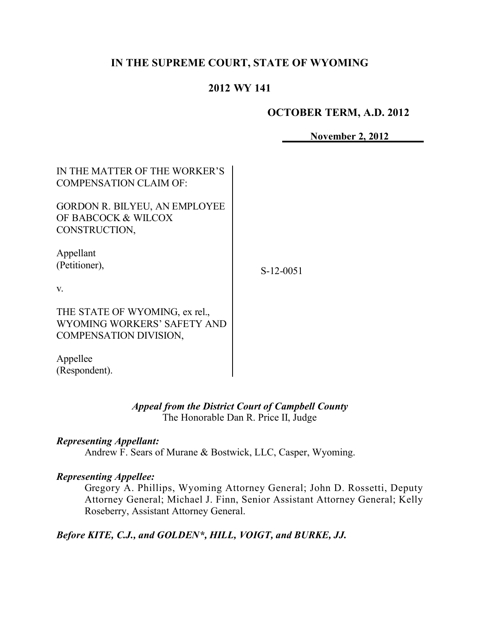# **IN THE SUPREME COURT, STATE OF WYOMING**

## **2012 WY 141**

### **OCTOBER TERM, A.D. 2012**

**November 2, 2012**

| IN THE MATTER OF THE WORKER'S<br><b>COMPENSATION CLAIM OF:</b>                                 |             |
|------------------------------------------------------------------------------------------------|-------------|
| <b>GORDON R. BILYEU, AN EMPLOYEE</b><br>OF BABCOCK & WILCOX<br>CONSTRUCTION,                   |             |
| Appellant<br>(Petitioner),                                                                     | $S-12-0051$ |
| V.                                                                                             |             |
| THE STATE OF WYOMING, ex rel.,<br>WYOMING WORKERS' SAFETY AND<br><b>COMPENSATION DIVISION,</b> |             |
| Appellee                                                                                       |             |
| (Respondent).                                                                                  |             |

### *Appeal from the District Court of Campbell County* The Honorable Dan R. Price II, Judge

### *Representing Appellant:*

Andrew F. Sears of Murane & Bostwick, LLC, Casper, Wyoming.

### *Representing Appellee:*

Gregory A. Phillips, Wyoming Attorney General; John D. Rossetti, Deputy Attorney General; Michael J. Finn, Senior Assistant Attorney General; Kelly Roseberry, Assistant Attorney General.

*Before KITE, C.J., and GOLDEN\*, HILL, VOIGT, and BURKE, JJ.*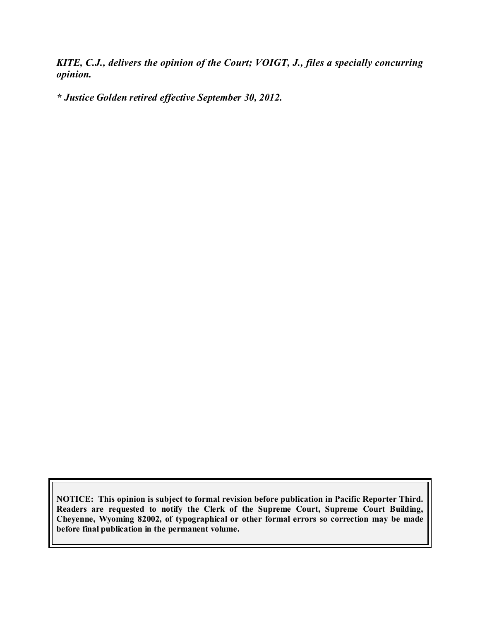*KITE, C.J., delivers the opinion of the Court; VOIGT, J., files a specially concurring opinion.*

*\* Justice Golden retired effective September 30, 2012.*

**NOTICE: This opinion is subject to formal revision before publication in Pacific Reporter Third. Readers are requested to notify the Clerk of the Supreme Court, Supreme Court Building, Cheyenne, Wyoming 82002, of typographical or other formal errors so correction may be made before final publication in the permanent volume.**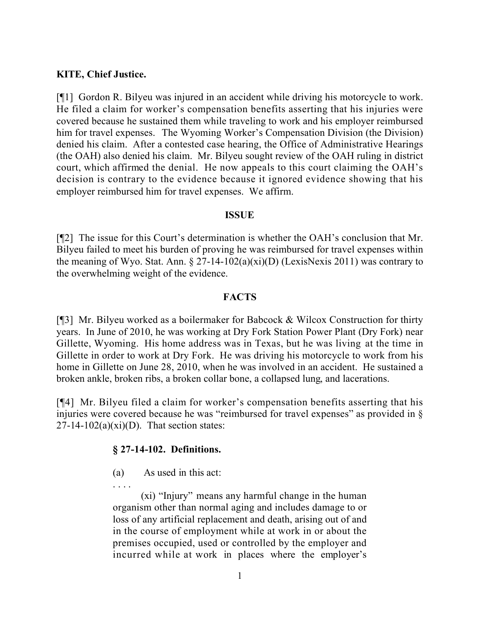### **KITE, Chief Justice.**

[¶1] Gordon R. Bilyeu was injured in an accident while driving his motorcycle to work. He filed a claim for worker's compensation benefits asserting that his injuries were covered because he sustained them while traveling to work and his employer reimbursed him for travel expenses. The Wyoming Worker's Compensation Division (the Division) denied his claim. After a contested case hearing, the Office of Administrative Hearings (the OAH) also denied his claim. Mr. Bilyeu sought review of the OAH ruling in district court, which affirmed the denial. He now appeals to this court claiming the OAH's decision is contrary to the evidence because it ignored evidence showing that his employer reimbursed him for travel expenses. We affirm.

### **ISSUE**

[¶2] The issue for this Court's determination is whether the OAH's conclusion that Mr. Bilyeu failed to meet his burden of proving he was reimbursed for travel expenses within the meaning of Wyo. Stat. Ann.  $\S 27$ -14-102(a)(xi)(D) (LexisNexis 2011) was contrary to the overwhelming weight of the evidence.

### **FACTS**

[¶3] Mr. Bilyeu worked as a boilermaker for Babcock & Wilcox Construction for thirty years. In June of 2010, he was working at Dry Fork Station Power Plant (Dry Fork) near Gillette, Wyoming. His home address was in Texas, but he was living at the time in Gillette in order to work at Dry Fork. He was driving his motorcycle to work from his home in Gillette on June 28, 2010, when he was involved in an accident. He sustained a broken ankle, broken ribs, a broken collar bone, a collapsed lung, and lacerations.

[¶4] Mr. Bilyeu filed a claim for worker's compensation benefits asserting that his injuries were covered because he was "reimbursed for travel expenses" as provided in  $\S$  $27-14-102(a)(xi)(D)$ . That section states:

### **§ 27-14-102. Definitions.**

- (a) As used in this act:
- 

(xi) "Injury" means any harmful change in the human organism other than normal aging and includes damage to or loss of any artificial replacement and death, arising out of and in the course of employment while at work in or about the premises occupied, used or controlled by the employer and incurred while at work in places where the employer's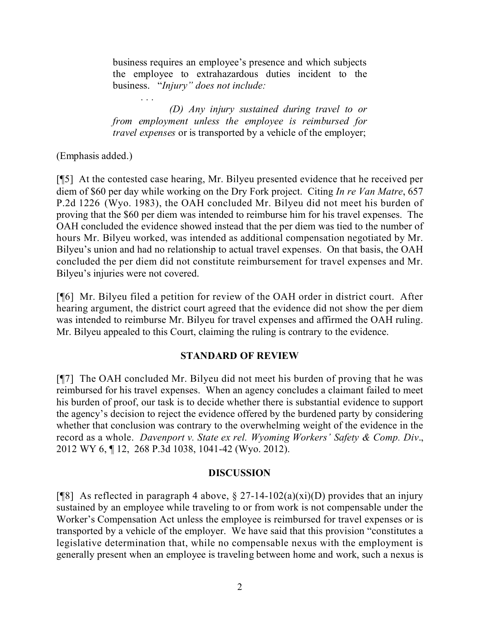business requires an employee's presence and which subjects the employee to extrahazardous duties incident to the business. "*Injury" does not include:*

*. . . (D) Any injury sustained during travel to or from employment unless the employee is reimbursed for travel expenses* or is transported by a vehicle of the employer;

(Emphasis added.)

[¶5] At the contested case hearing, Mr. Bilyeu presented evidence that he received per diem of \$60 per day while working on the Dry Fork project. Citing *In re Van Matre*, 657 P.2d 1226 (Wyo. 1983), the OAH concluded Mr. Bilyeu did not meet his burden of proving that the \$60 per diem was intended to reimburse him for his travel expenses. The OAH concluded the evidence showed instead that the per diem was tied to the number of hours Mr. Bilyeu worked, was intended as additional compensation negotiated by Mr. Bilyeu's union and had no relationship to actual travel expenses. On that basis, the OAH concluded the per diem did not constitute reimbursement for travel expenses and Mr. Bilyeu's injuries were not covered.

[¶6] Mr. Bilyeu filed a petition for review of the OAH order in district court. After hearing argument, the district court agreed that the evidence did not show the per diem was intended to reimburse Mr. Bilyeu for travel expenses and affirmed the OAH ruling. Mr. Bilyeu appealed to this Court, claiming the ruling is contrary to the evidence.

### **STANDARD OF REVIEW**

[¶7] The OAH concluded Mr. Bilyeu did not meet his burden of proving that he was reimbursed for his travel expenses. When an agency concludes a claimant failed to meet his burden of proof, our task is to decide whether there is substantial evidence to support the agency's decision to reject the evidence offered by the burdened party by considering whether that conclusion was contrary to the overwhelming weight of the evidence in the record as a whole. *Davenport v. State ex rel. Wyoming Workers' Safety & Comp. Div*., 2012 WY 6, ¶ 12, 268 P.3d 1038, 1041-42 (Wyo. 2012).

### **DISCUSSION**

[¶8] As reflected in paragraph 4 above,  $\S 27$ -14-102(a)(xi)(D) provides that an injury sustained by an employee while traveling to or from work is not compensable under the Worker's Compensation Act unless the employee is reimbursed for travel expenses or is transported by a vehicle of the employer. We have said that this provision "constitutes a legislative determination that, while no compensable nexus with the employment is generally present when an employee is traveling between home and work, such a nexus is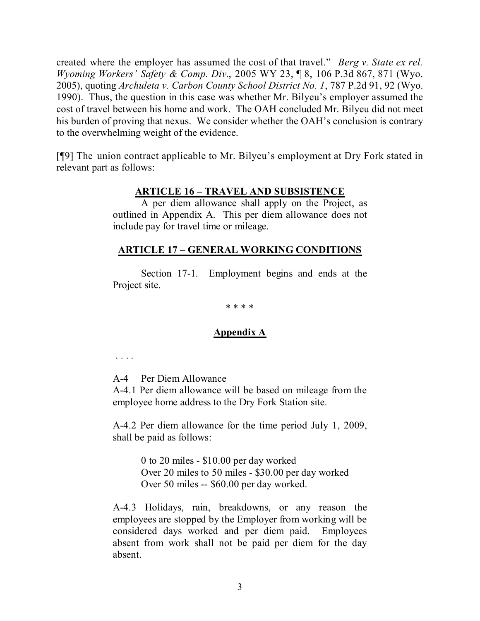created where the employer has assumed the cost of that travel." *Berg v. State ex rel. Wyoming Workers' Safety & Comp. Div*., 2005 WY 23, ¶ 8, 106 P.3d 867, 871 (Wyo. 2005), quoting *Archuleta v. Carbon County School District No. 1*, 787 P.2d 91, 92 (Wyo. 1990). Thus, the question in this case was whether Mr. Bilyeu's employer assumed the cost of travel between his home and work. The OAH concluded Mr. Bilyeu did not meet his burden of proving that nexus. We consider whether the OAH's conclusion is contrary to the overwhelming weight of the evidence.

[¶9] The union contract applicable to Mr. Bilyeu's employment at Dry Fork stated in relevant part as follows:

### **ARTICLE 16 – TRAVEL AND SUBSISTENCE**

A per diem allowance shall apply on the Project, as outlined in Appendix A. This per diem allowance does not include pay for travel time or mileage.

### **ARTICLE 17 – GENERAL WORKING CONDITIONS**

Section 17-1. Employment begins and ends at the Project site.

#### \* \* \* \*

### **Appendix A**

. . . .

A-4 Per Diem Allowance

A-4.1 Per diem allowance will be based on mileage from the employee home address to the Dry Fork Station site.

A-4.2 Per diem allowance for the time period July 1, 2009, shall be paid as follows:

> 0 to 20 miles - \$10.00 per day worked Over 20 miles to 50 miles - \$30.00 per day worked Over 50 miles -- \$60.00 per day worked.

A-4.3 Holidays, rain, breakdowns, or any reason the employees are stopped by the Employer from working will be considered days worked and per diem paid. Employees absent from work shall not be paid per diem for the day absent.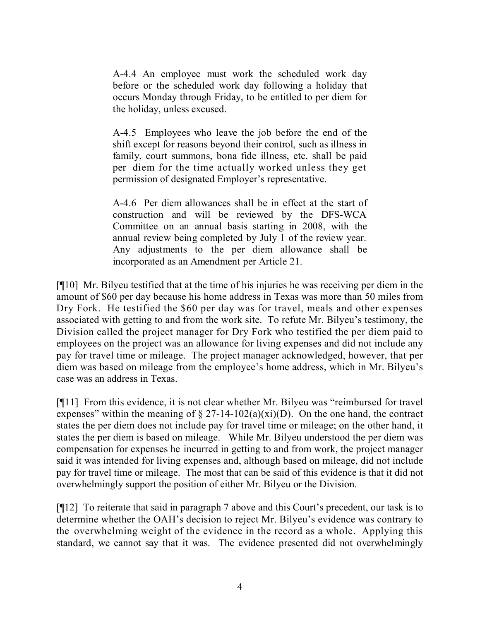A-4.4 An employee must work the scheduled work day before or the scheduled work day following a holiday that occurs Monday through Friday, to be entitled to per diem for the holiday, unless excused.

A-4.5 Employees who leave the job before the end of the shift except for reasons beyond their control, such as illness in family, court summons, bona fide illness, etc. shall be paid per diem for the time actually worked unless they get permission of designated Employer's representative.

A-4.6 Per diem allowances shall be in effect at the start of construction and will be reviewed by the DFS-WCA Committee on an annual basis starting in 2008, with the annual review being completed by July 1 of the review year. Any adjustments to the per diem allowance shall be incorporated as an Amendment per Article 21.

[¶10] Mr. Bilyeu testified that at the time of his injuries he was receiving per diem in the amount of \$60 per day because his home address in Texas was more than 50 miles from Dry Fork. He testified the \$60 per day was for travel, meals and other expenses associated with getting to and from the work site. To refute Mr. Bilyeu's testimony, the Division called the project manager for Dry Fork who testified the per diem paid to employees on the project was an allowance for living expenses and did not include any pay for travel time or mileage. The project manager acknowledged, however, that per diem was based on mileage from the employee's home address, which in Mr. Bilyeu's case was an address in Texas.

[¶11] From this evidence, it is not clear whether Mr. Bilyeu was "reimbursed for travel expenses" within the meaning of  $\S 27$ -14-102(a)(xi)(D). On the one hand, the contract states the per diem does not include pay for travel time or mileage; on the other hand, it states the per diem is based on mileage. While Mr. Bilyeu understood the per diem was compensation for expenses he incurred in getting to and from work, the project manager said it was intended for living expenses and, although based on mileage, did not include pay for travel time or mileage. The most that can be said of this evidence is that it did not overwhelmingly support the position of either Mr. Bilyeu or the Division.

[¶12] To reiterate that said in paragraph 7 above and this Court's precedent, our task is to determine whether the OAH's decision to reject Mr. Bilyeu's evidence was contrary to the overwhelming weight of the evidence in the record as a whole. Applying this standard, we cannot say that it was. The evidence presented did not overwhelmingly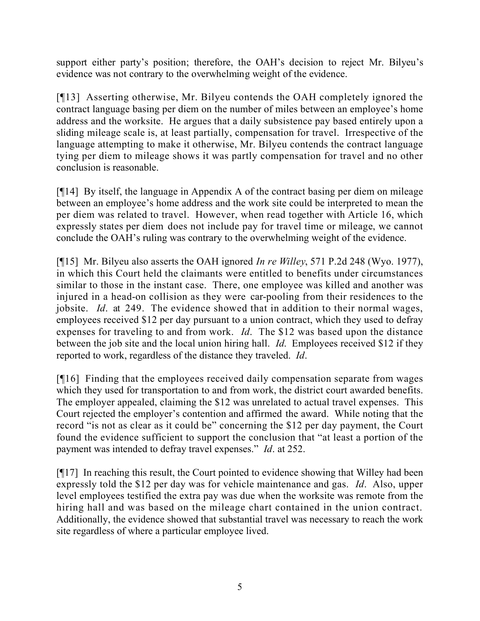support either party's position; therefore, the OAH's decision to reject Mr. Bilyeu's evidence was not contrary to the overwhelming weight of the evidence.

[¶13] Asserting otherwise, Mr. Bilyeu contends the OAH completely ignored the contract language basing per diem on the number of miles between an employee's home address and the worksite. He argues that a daily subsistence pay based entirely upon a sliding mileage scale is, at least partially, compensation for travel. Irrespective of the language attempting to make it otherwise, Mr. Bilyeu contends the contract language tying per diem to mileage shows it was partly compensation for travel and no other conclusion is reasonable.

[¶14] By itself, the language in Appendix A of the contract basing per diem on mileage between an employee's home address and the work site could be interpreted to mean the per diem was related to travel. However, when read together with Article 16, which expressly states per diem does not include pay for travel time or mileage, we cannot conclude the OAH's ruling was contrary to the overwhelming weight of the evidence.

[¶15] Mr. Bilyeu also asserts the OAH ignored *In re Willey*, 571 P.2d 248 (Wyo. 1977), in which this Court held the claimants were entitled to benefits under circumstances similar to those in the instant case. There, one employee was killed and another was injured in a head-on collision as they were car-pooling from their residences to the jobsite. *Id*. at 249. The evidence showed that in addition to their normal wages, employees received \$12 per day pursuant to a union contract, which they used to defray expenses for traveling to and from work. *Id*. The \$12 was based upon the distance between the job site and the local union hiring hall. *Id*. Employees received \$12 if they reported to work, regardless of the distance they traveled. *Id*.

[¶16] Finding that the employees received daily compensation separate from wages which they used for transportation to and from work, the district court awarded benefits. The employer appealed, claiming the \$12 was unrelated to actual travel expenses. This Court rejected the employer's contention and affirmed the award. While noting that the record "is not as clear as it could be" concerning the \$12 per day payment, the Court found the evidence sufficient to support the conclusion that "at least a portion of the payment was intended to defray travel expenses." *Id*. at 252.

[¶17] In reaching this result, the Court pointed to evidence showing that Willey had been expressly told the \$12 per day was for vehicle maintenance and gas. *Id*. Also, upper level employees testified the extra pay was due when the worksite was remote from the hiring hall and was based on the mileage chart contained in the union contract. Additionally, the evidence showed that substantial travel was necessary to reach the work site regardless of where a particular employee lived.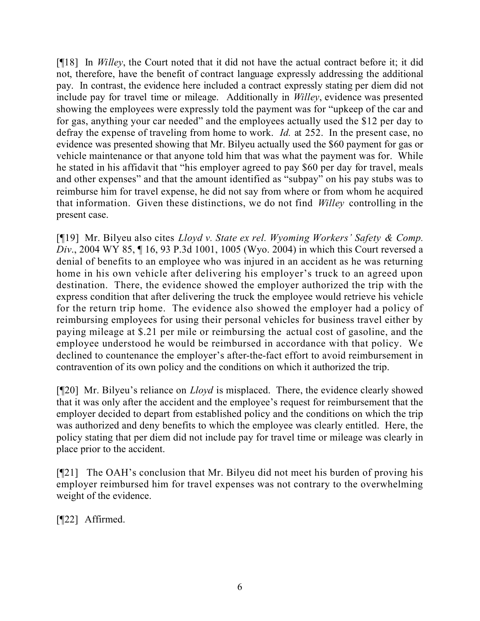[¶18] In *Willey*, the Court noted that it did not have the actual contract before it; it did not, therefore, have the benefit of contract language expressly addressing the additional pay. In contrast, the evidence here included a contract expressly stating per diem did not include pay for travel time or mileage. Additionally in *Willey*, evidence was presented showing the employees were expressly told the payment was for "upkeep of the car and for gas, anything your car needed" and the employees actually used the \$12 per day to defray the expense of traveling from home to work. *Id.* at 252. In the present case, no evidence was presented showing that Mr. Bilyeu actually used the \$60 payment for gas or vehicle maintenance or that anyone told him that was what the payment was for. While he stated in his affidavit that "his employer agreed to pay \$60 per day for travel, meals and other expenses" and that the amount identified as "subpay" on his pay stubs was to reimburse him for travel expense, he did not say from where or from whom he acquired that information. Given these distinctions, we do not find *Willey* controlling in the present case.

[¶19] Mr. Bilyeu also cites *Lloyd v. State ex rel. Wyoming Workers' Safety & Comp. Div*., 2004 WY 85, ¶ 16, 93 P.3d 1001, 1005 (Wyo. 2004) in which this Court reversed a denial of benefits to an employee who was injured in an accident as he was returning home in his own vehicle after delivering his employer's truck to an agreed upon destination. There, the evidence showed the employer authorized the trip with the express condition that after delivering the truck the employee would retrieve his vehicle for the return trip home. The evidence also showed the employer had a policy of reimbursing employees for using their personal vehicles for business travel either by paying mileage at \$.21 per mile or reimbursing the actual cost of gasoline, and the employee understood he would be reimbursed in accordance with that policy. We declined to countenance the employer's after-the-fact effort to avoid reimbursement in contravention of its own policy and the conditions on which it authorized the trip.

[¶20] Mr. Bilyeu's reliance on *Lloyd* is misplaced. There, the evidence clearly showed that it was only after the accident and the employee's request for reimbursement that the employer decided to depart from established policy and the conditions on which the trip was authorized and deny benefits to which the employee was clearly entitled. Here, the policy stating that per diem did not include pay for travel time or mileage was clearly in place prior to the accident.

[¶21] The OAH's conclusion that Mr. Bilyeu did not meet his burden of proving his employer reimbursed him for travel expenses was not contrary to the overwhelming weight of the evidence.

[¶22] Affirmed.